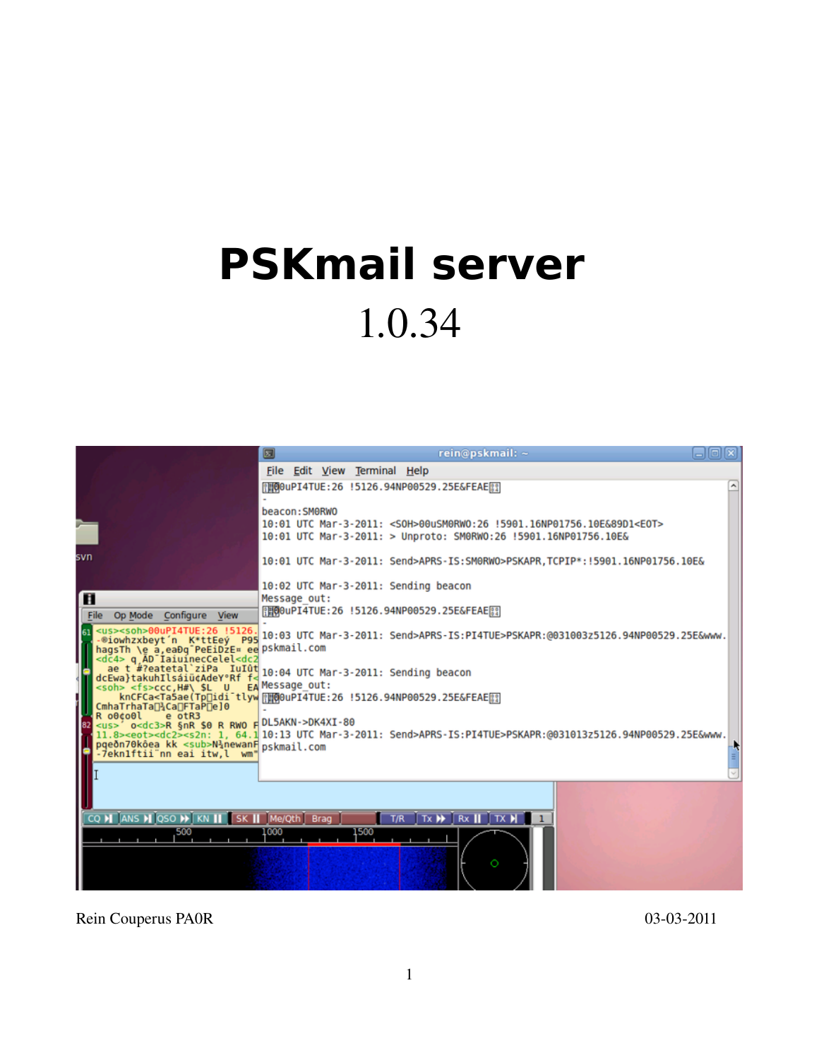# **PSKmail server**  1.0.34



Rein Couperus PA0R 03-03-2011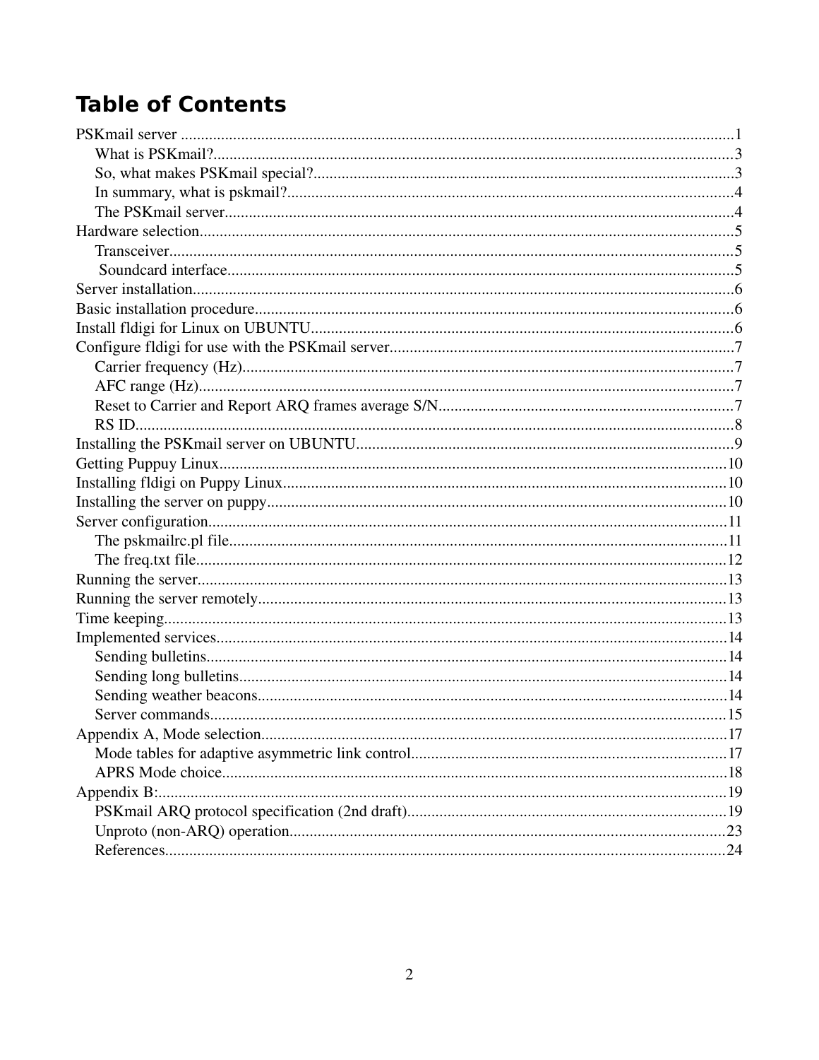# **Table of Contents**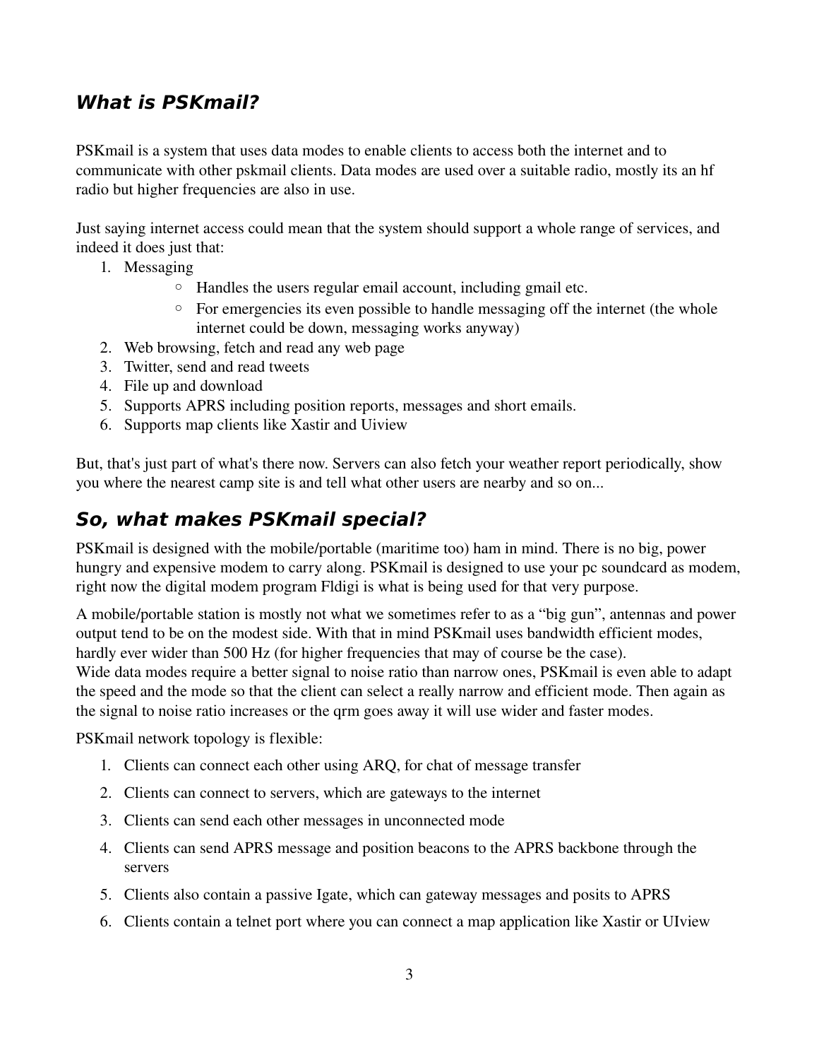#### **What is PSKmail?**

PSKmail is a system that uses data modes to enable clients to access both the internet and to communicate with other pskmail clients. Data modes are used over a suitable radio, mostly its an hf radio but higher frequencies are also in use.

Just saying internet access could mean that the system should support a whole range of services, and indeed it does just that:

- 1. Messaging
	- Handles the users regular email account, including gmail etc.
	- For emergencies its even possible to handle messaging off the internet (the whole internet could be down, messaging works anyway)
- 2. Web browsing, fetch and read any web page
- 3. Twitter, send and read tweets
- 4. File up and download
- 5. Supports APRS including position reports, messages and short emails.
- 6. Supports map clients like Xastir and Uiview

But, that's just part of what's there now. Servers can also fetch your weather report periodically, show you where the nearest camp site is and tell what other users are nearby and so on...

#### **So, what makes PSKmail special?**

PSKmail is designed with the mobile/portable (maritime too) ham in mind. There is no big, power hungry and expensive modem to carry along. PSKmail is designed to use your pc soundcard as modem, right now the digital modem program Fldigi is what is being used for that very purpose.

A mobile/portable station is mostly not what we sometimes refer to as a "big gun", antennas and power output tend to be on the modest side. With that in mind PSKmail uses bandwidth efficient modes, hardly ever wider than 500 Hz (for higher frequencies that may of course be the case). Wide data modes require a better signal to noise ratio than narrow ones, PSK mail is even able to adapt the speed and the mode so that the client can select a really narrow and efficient mode. Then again as the signal to noise ratio increases or the qrm goes away it will use wider and faster modes.

PSKmail network topology is flexible:

- 1. Clients can connect each other using ARQ, for chat of message transfer
- 2. Clients can connect to servers, which are gateways to the internet
- 3. Clients can send each other messages in unconnected mode
- 4. Clients can send APRS message and position beacons to the APRS backbone through the servers
- 5. Clients also contain a passive Igate, which can gateway messages and posits to APRS
- 6. Clients contain a telnet port where you can connect a map application like Xastir or UIview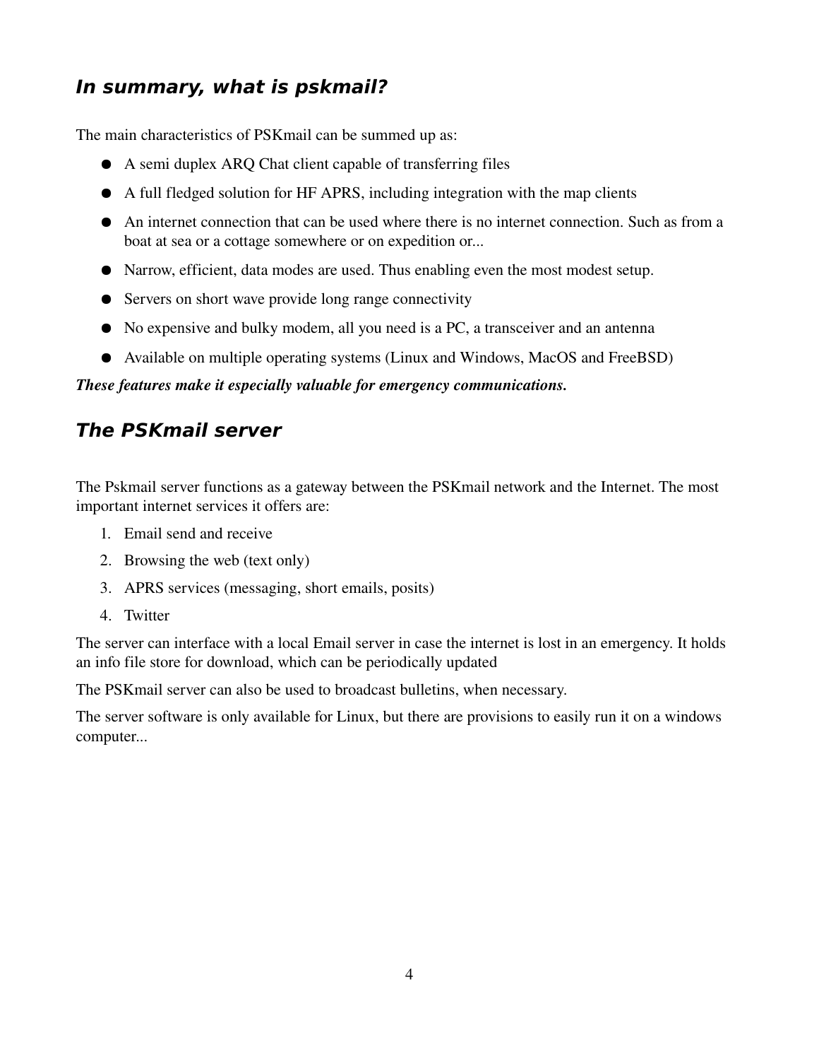#### **In summary, what is pskmail?**

The main characteristics of PSKmail can be summed up as:

- A semi duplex ARQ Chat client capable of transferring files
- A full fledged solution for HF APRS, including integration with the map clients
- An internet connection that can be used where there is no internet connection. Such as from a boat at sea or a cottage somewhere or on expedition or...
- Narrow, efficient, data modes are used. Thus enabling even the most modest setup.
- Servers on short wave provide long range connectivity
- No expensive and bulky modem, all you need is a PC, a transceiver and an antenna
- Available on multiple operating systems (Linux and Windows, MacOS and FreeBSD)

#### *These features make it especially valuable for emergency communications.*

#### **The PSKmail server**

The Pskmail server functions as a gateway between the PSKmail network and the Internet. The most important internet services it offers are:

- 1. Email send and receive
- 2. Browsing the web (text only)
- 3. APRS services (messaging, short emails, posits)
- 4. Twitter

The server can interface with a local Email server in case the internet is lost in an emergency. It holds an info file store for download, which can be periodically updated

The PSKmail server can also be used to broadcast bulletins, when necessary.

The server software is only available for Linux, but there are provisions to easily run it on a windows computer...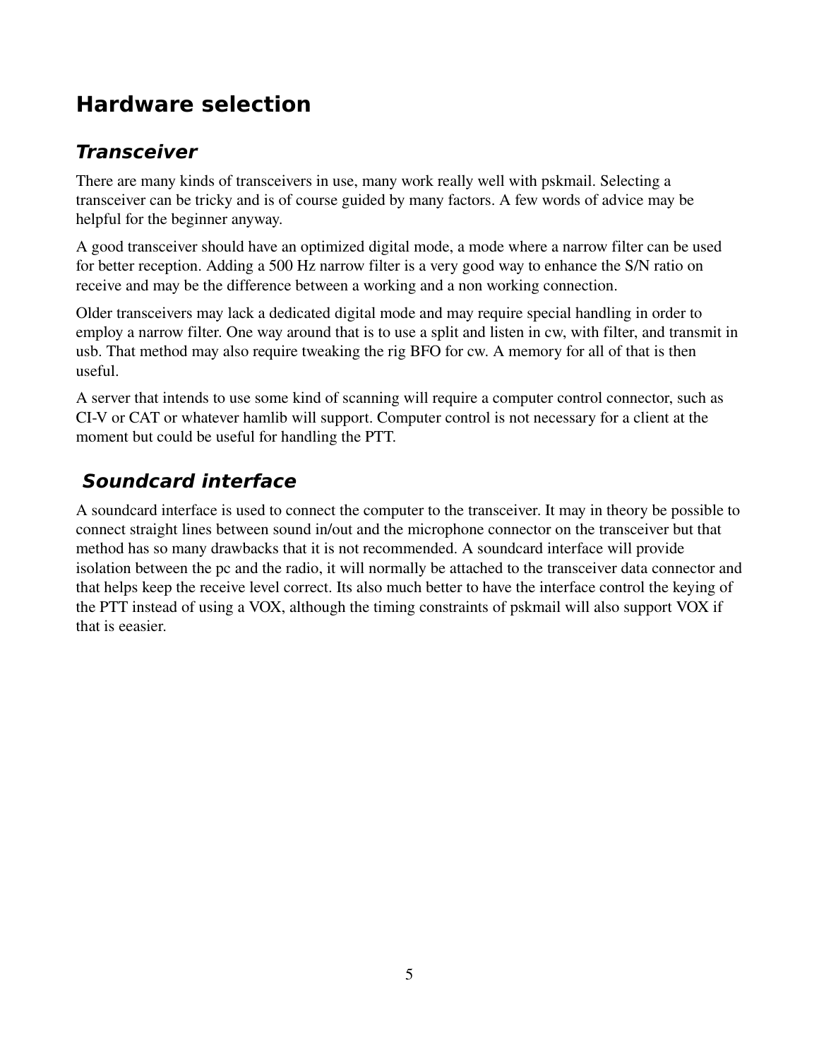# **Hardware selection**

#### **Transceiver**

There are many kinds of transceivers in use, many work really well with pskmail. Selecting a transceiver can be tricky and is of course guided by many factors. A few words of advice may be helpful for the beginner anyway.

A good transceiver should have an optimized digital mode, a mode where a narrow filter can be used for better reception. Adding a 500 Hz narrow filter is a very good way to enhance the S/N ratio on receive and may be the difference between a working and a non working connection.

Older transceivers may lack a dedicated digital mode and may require special handling in order to employ a narrow filter. One way around that is to use a split and listen in cw, with filter, and transmit in usb. That method may also require tweaking the rig BFO for cw. A memory for all of that is then useful.

A server that intends to use some kind of scanning will require a computer control connector, such as CIV or CAT or whatever hamlib will support. Computer control is not necessary for a client at the moment but could be useful for handling the PTT.

# **Soundcard interface**

A soundcard interface is used to connect the computer to the transceiver. It may in theory be possible to connect straight lines between sound in/out and the microphone connector on the transceiver but that method has so many drawbacks that it is not recommended. A soundcard interface will provide isolation between the pc and the radio, it will normally be attached to the transceiver data connector and that helps keep the receive level correct. Its also much better to have the interface control the keying of the PTT instead of using a VOX, although the timing constraints of pskmail will also support VOX if that is eeasier.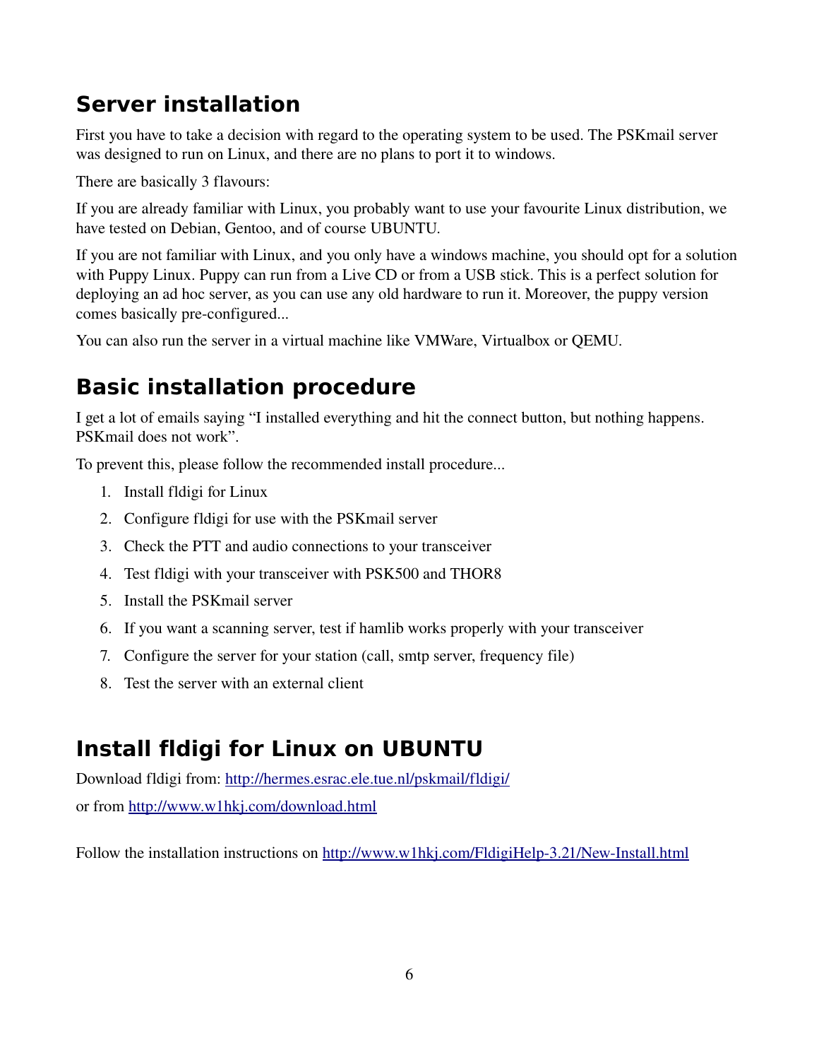# **Server installation**

First you have to take a decision with regard to the operating system to be used. The PSKmail server was designed to run on Linux, and there are no plans to port it to windows.

There are basically 3 flavours:

If you are already familiar with Linux, you probably want to use your favourite Linux distribution, we have tested on Debian, Gentoo, and of course UBUNTU.

If you are not familiar with Linux, and you only have a windows machine, you should opt for a solution with Puppy Linux. Puppy can run from a Live CD or from a USB stick. This is a perfect solution for deploying an ad hoc server, as you can use any old hardware to run it. Moreover, the puppy version comes basically pre-configured...

You can also run the server in a virtual machine like VMWare, Virtualbox or QEMU.

# **Basic installation procedure**

I get a lot of emails saying "I installed everything and hit the connect button, but nothing happens. PSKmail does not work".

To prevent this, please follow the recommended install procedure...

- 1. Install fldigi for Linux
- 2. Configure fldigi for use with the PSKmail server
- 3. Check the PTT and audio connections to your transceiver
- 4. Test fldigi with your transceiver with PSK500 and THOR8
- 5. Install the PSKmail server
- 6. If you want a scanning server, test if hamlib works properly with your transceiver
- 7. Configure the server for your station (call, smtp server, frequency file)
- 8. Test the server with an external client

# **Install fldigi for Linux on UBUNTU**

Download fldigi from:<http://hermes.esrac.ele.tue.nl/pskmail/fldigi/> or from<http://www.w1hkj.com/download.html>

Follow the installation instructions on http://www.w1hkj.com/FldigiHelp-3.21/New-Install.html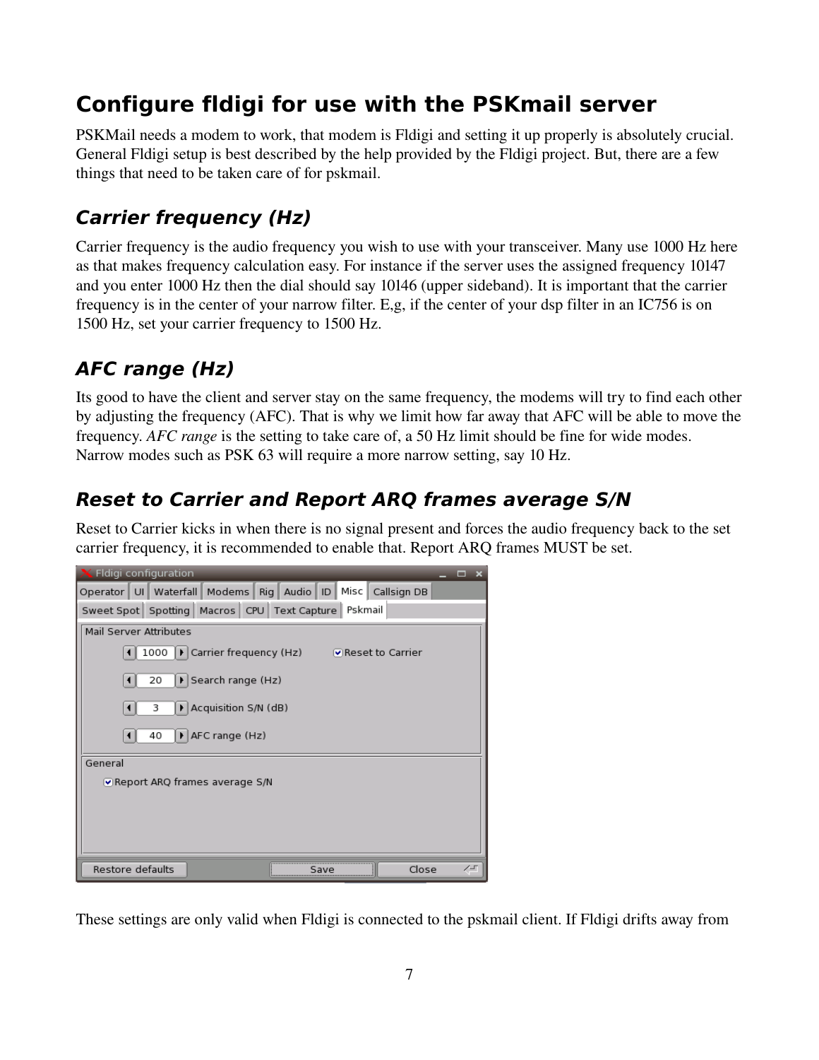# **Configure fldigi for use with the PSKmail server**

PSKMail needs a modem to work, that modem is Fldigi and setting it up properly is absolutely crucial. General Fldigi setup is best described by the help provided by the Fldigi project. But, there are a few things that need to be taken care of for pskmail.

## **Carrier frequency (Hz)**

Carrier frequency is the audio frequency you wish to use with your transceiver. Many use 1000 Hz here as that makes frequency calculation easy. For instance if the server uses the assigned frequency 10147 and you enter 1000 Hz then the dial should say 10146 (upper sideband). It is important that the carrier frequency is in the center of your narrow filter. E,g, if the center of your dsp filter in an IC756 is on 1500 Hz, set your carrier frequency to 1500 Hz.

# **AFC range (Hz)**

Its good to have the client and server stay on the same frequency, the modems will try to find each other by adjusting the frequency (AFC). That is why we limit how far away that AFC will be able to move the frequency. *AFC range* is the setting to take care of, a 50 Hz limit should be fine for wide modes. Narrow modes such as PSK 63 will require a more narrow setting, say 10 Hz.

## **Reset to Carrier and Report ARQ frames average S/N**

Reset to Carrier kicks in when there is no signal present and forces the audio frequency back to the set carrier frequency, it is recommended to enable that. Report ARQ frames MUST be set.



These settings are only valid when Fldigi is connected to the pskmail client. If Fldigi drifts away from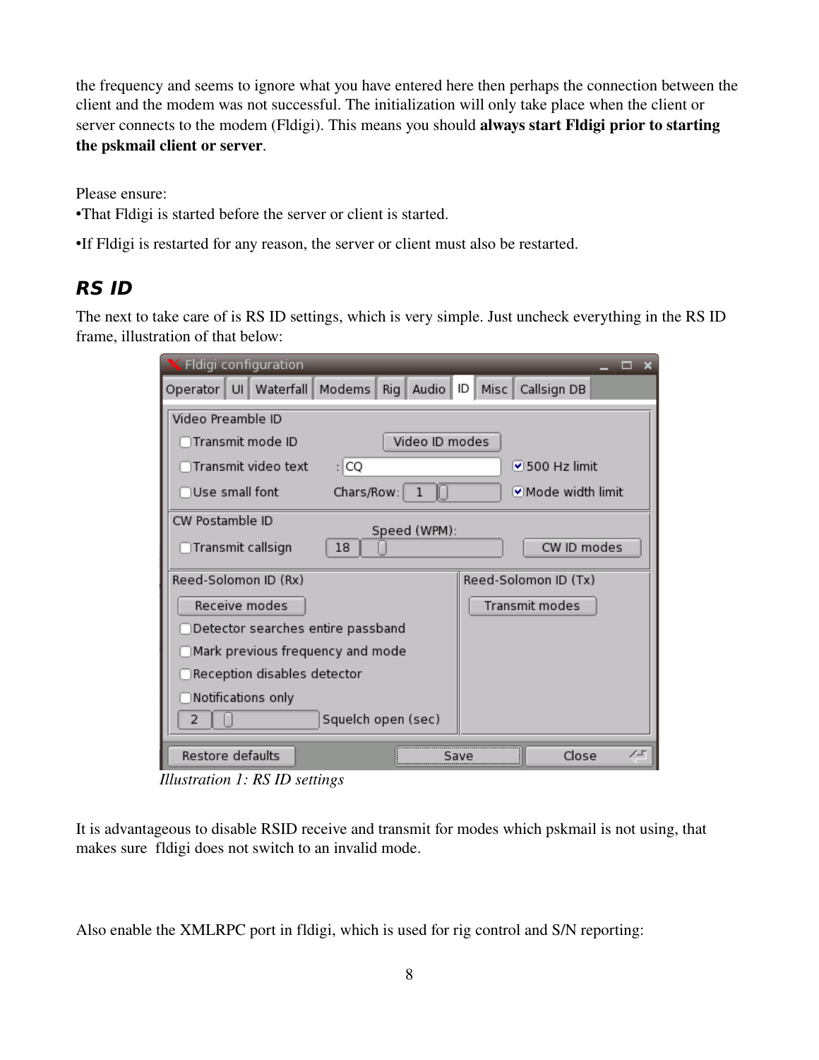the frequency and seems to ignore what you have entered here then perhaps the connection between the client and the modem was not successful. The initialization will only take place when the client or server connects to the modem (Fldigi). This means you should always start Fldigi prior to starting the pskmail client or server.

Please ensure:

•That Fldigi is started before the server or client is started.

•If Fldigi is restarted for any reason, the server or client must also be restarted.

#### **RS ID**

The next to take care of is RS ID settings, which is very simple. Just uncheck everything in the RS ID frame, illustration of that below:

| Fldigi configuration                                         | ▬<br>$\mathbf x$             |
|--------------------------------------------------------------|------------------------------|
| Operator   UI   Waterfall   Modems   Rig   Audio   ID   Misc | Callsign DB                  |
| Video Preamble ID                                            |                              |
| Video ID modes<br>Transmit mode ID)                          |                              |
| ∏Transmit video text<br>: CQ                                 | $\triangledown$ 500 Hz limit |
| Use small font<br>Chars/Row:<br>ı                            | Mode width limit             |
| CW Postamble ID<br>Speed (WPM):                              |                              |
| ◯Transmit callsign<br>18                                     | CW ID modes                  |
| Reed-Solomon ID (Rx)                                         | Reed-Solomon ID (Tx)         |
| Receive modes                                                | Transmit modes               |
| Detector searches entire passband                            |                              |
| $\Box$ Mark previous frequency and mode                      |                              |
| $\supset$ Reception disables detector                        |                              |
| $\supset$ Notifications only                                 |                              |
| Squelch open (sec)<br>2                                      |                              |
| Restore defaults                                             | Close<br>╱∸୮<br>save         |

*Illustration 1: RS ID settings*

It is advantageous to disable RSID receive and transmit for modes which pskmail is not using, that makes sure fldigi does not switch to an invalid mode.

Also enable the XMLRPC port in fldigi, which is used for rig control and S/N reporting: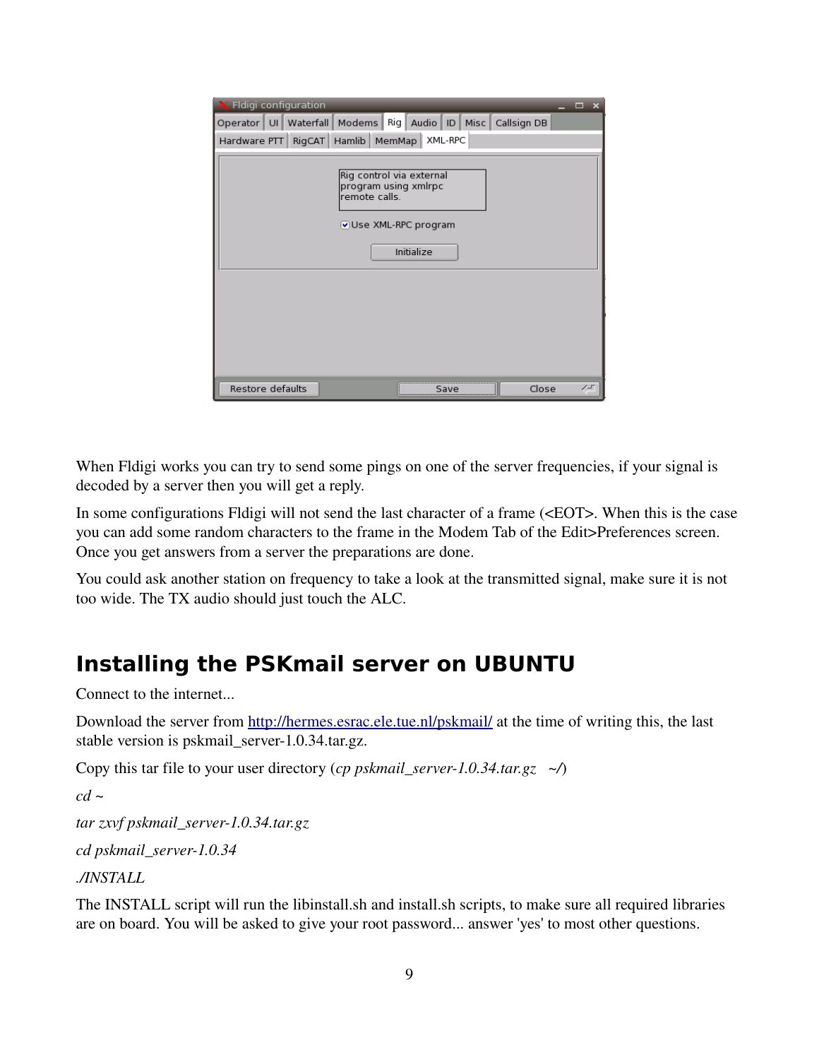| Fldigi configuration                                                                                                  | $\overline{\mathbf{x}}$<br>▬ |
|-----------------------------------------------------------------------------------------------------------------------|------------------------------|
| Operator   UI   Waterfall   Modems   Rig   Audio   ID   Misc   Callsign DB<br>Hardware PTT   RigCAT   Hamlib   MemMap | XML-RPC                      |
|                                                                                                                       |                              |
| Rig control via external<br>program using xmlrpc<br>remote calls.<br>Use XML-RPC program                              |                              |
| Initialize                                                                                                            |                              |
|                                                                                                                       |                              |
|                                                                                                                       |                              |
|                                                                                                                       |                              |
|                                                                                                                       |                              |
| Restore defaults                                                                                                      | Close<br>∕∽<br>Save          |

When Fldigi works you can try to send some pings on one of the server frequencies, if your signal is decoded by a server then you will get a reply.

In some configurations Fldigi will not send the last character of a frame (<EOT>. When this is the case you can add some random characters to the frame in the Modem Tab of the Edit>Preferences screen. Once you get answers from a server the preparations are done.

You could ask another station on frequency to take a look at the transmitted signal, make sure it is not too wide. The TX audio should just touch the ALC.

# **Installing the PSKmail server on UBUNTU**

Connect to the internet...

Download the server from<http://hermes.esrac.ele.tue.nl/pskmail/>at the time of writing this, the last stable version is pskmail\_server-1.0.34.tar.gz.

Copy this tar file to your user directory (*cp pskmail\_server1.0.34.tar.gz ~/*)

```
cd ~
```
*tar zxvf pskmail\_server1.0.34.tar.gz*

*cd pskmail\_server1.0.34*

*./INSTALL*

The INSTALL script will run the libinstall.sh and install.sh scripts, to make sure all required libraries are on board. You will be asked to give your root password... answer 'yes' to most other questions.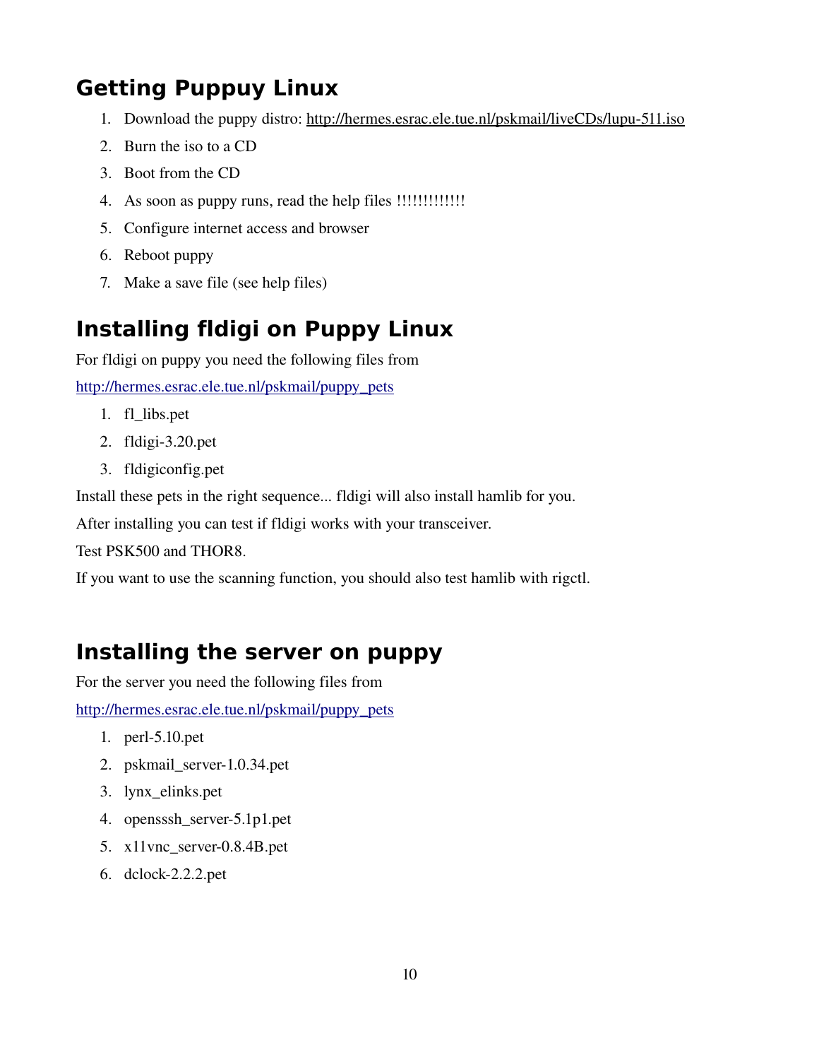# **Getting Puppuy Linux**

- 1. Download the puppy distro: http://hermes.esrac.ele.tue.nl/pskmail/liveCDs/lupu-511.iso
- 2. Burn the iso to a CD
- 3. Boot from the CD
- 4. As soon as puppy runs, read the help files !!!!!!!!!!!!!
- 5. Configure internet access and browser
- 6. Reboot puppy
- 7. Make a save file (see help files)

# **Installing fldigi on Puppy Linux**

For fldigi on puppy you need the following files from

[http://hermes.esrac.ele.tue.nl/pskmail/puppy\\_pets](http://hermes.esrac.ele.tue.nl/pskmail/puppy_pets)

- 1. fl\_libs.pet
- 2. fldigi $-3.20$ .pet
- 3. fldigiconfig.pet

Install these pets in the right sequence... fldigi will also install hamlib for you.

After installing you can test if fldigi works with your transceiver.

Test PSK500 and THOR8.

If you want to use the scanning function, you should also test hamlib with rigctl.

### **Installing the server on puppy**

For the server you need the following files from

[http://hermes.esrac.ele.tue.nl/pskmail/puppy\\_pets](http://hermes.esrac.ele.tue.nl/pskmail/puppy_pets)

- 1. perl $-5.10$ .pet
- 2. pskmail\_server-1.0.34.pet
- 3. lynx\_elinks.pet
- 4. opensssh\_server-5.1p1.pet
- 5.  $x11$ vnc\_server-0.8.4B.pet
- 6. dclock-2.2.2.pet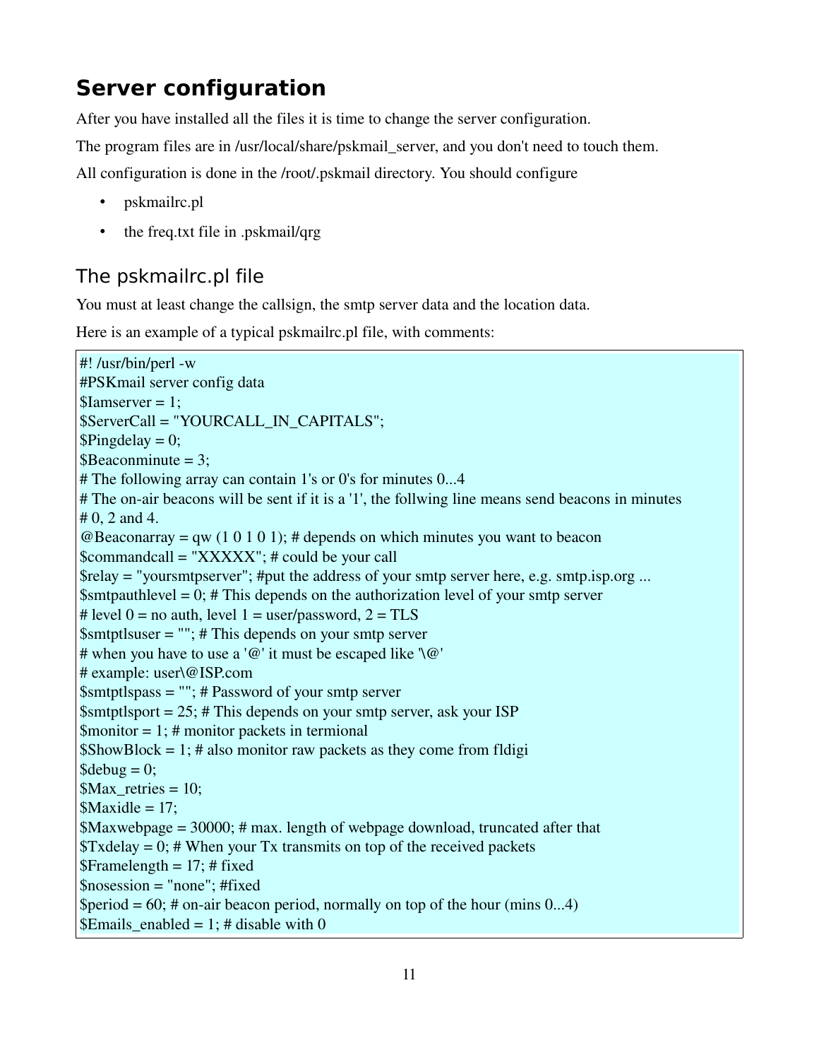# **Server configuration**

After you have installed all the files it is time to change the server configuration.

The program files are in /usr/local/share/pskmail\_server, and you don't need to touch them.

All configuration is done in the /root/.pskmail directory. You should configure

- pskmailrc.pl
- the freq.txt file in .pskmail/qrg

#### The pskmailrc.pl file

You must at least change the callsign, the smtp server data and the location data.

Here is an example of a typical pskmailrc.pl file, with comments:

```
#!/usr/bin/perl -w
#PSKmail server config data
$Iamserver = 1;
$ServerCall = "YOURCALL_IN_CAPITALS";
$Ping delay = 0;\text{B}\text{Beaconminute} = 3;
# The following array can contain 1's or 0's for minutes 0...4
# The on-air beacons will be sent if it is a '1', the follwing line means send beacons in minutes
# 0, 2 and 4.
@Beaconarray = qw (1\ 0\ 1\ 0\ 1); # depends on which minutes you want to beacon
$commandcall = "XXXXX"; # could be your call
$relay = "yourtmtpserver"; #put the address of your smtp server here, e.g. smtp.isp.org ...\text{Smtpauthlevel} = 0; # This depends on the authorization level of your smtp server
# level 0 = no auth, level 1 = user/password, 2 = TLS
\text{Smtptlsuser} = \text{""}; # This depends on your smtp server
# when you have to use a '\mathcal{Q}' it must be escaped like '\\mathcal{Q}''
# example: user\@ISP.com
$smtptlspass = ""; # Password of your smtp server
\text{Smtptlsport} = 25; # This depends on your smtp server, ask your ISP
\text{St} = 1; # monitor packets in termional
$ShowBlock = 1; # also monitor raw packets as they come from fldigi
\delta debug = 0;
Max retries = 10;
Maxidle = 17;
$Maxwebpage = 30000; # max. length of webpage download, truncated after that
Txdelay = 0; # When your Tx transmits on top of the received packets
$Framelength = 17; # fixed$nosession = "none"; #fixed
\text{Special} = 60; # on-air beacon period, normally on top of the hour (mins 0...4)
$Emails enabled = 1; # disable with 0
```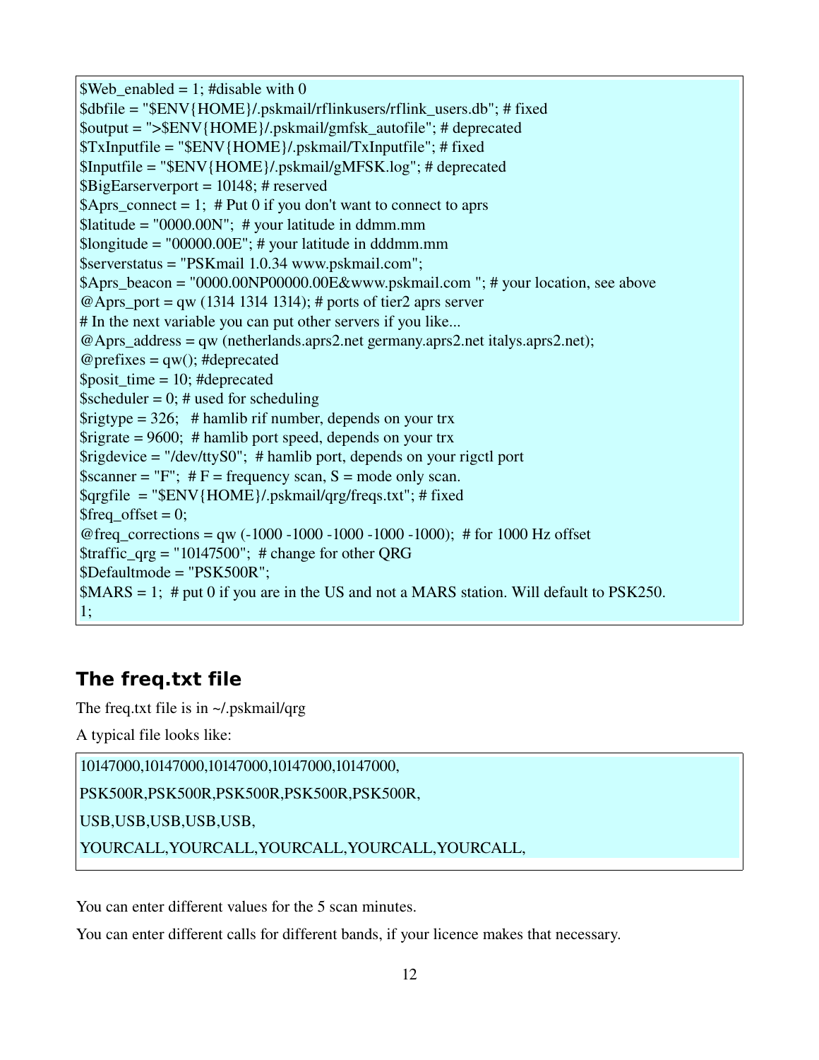```
Web\_enabeled = 1; #disable with 0
$dbfile = "$ENV{HOME}/.pskmail/rflinkusers/rflink_users.db"; # fixed
$output = ">$ENV{HOME}/.pskmail/gmfsk_autofile"; # deprecated 
$TxInputfile = "$ENV{HOME}/.pskmail/TxInputfile"; # fixed
$Inputfile = "$ENV{HOME}/.pskmail/gMFSK.log"; # deprecated 
$BigEarserverport = 10148; # reserved 
\betaAprs_connect = 1; # Put 0 if you don't want to connect to aprs
\text{N}iatitude = "0000.00N"; # your latitude in ddmm.mm
\text{Slongitude} = \text{"00000.00E"; } # your latitude in dddmm.mm
$serverstatus = "PSKmail 1.0.34 www.pskmail.com";
\betaAprs beacon = "0000.00NP00000.00E&www.pskmail.com "; # your location, see above
@Aprs port = qw (1314 1314 1314); # ports of tier2 aprs server
# In the next variable you can put other servers if you like...
@Aprs_address = qw (netherlands.aprs2.net germany.aprs2.net italys.aprs2.net);
@ prefixes = qw(); #deprecated
$posit time = 10; #deprecated
\text{Sscheduler} = 0; # used for scheduling
\frac{26}{5} = 326; # hamlib rif number, depends on your trx
\frac{\text{S} \cdot \text{S} \cdot \text{S} \cdot \text{S} \cdot \text{S} \cdot \text{S} \cdot \text{S} \cdot \text{S} \cdot \text{S}}{1 \text{S} \cdot \text{S} \cdot \text{S} \cdot \text{S} \cdot \text{S} \cdot \text{S} \cdot \text{S} \cdot \text{S} \cdot \text{S} \cdot \text{S} \cdot \text{S} \cdot \text{S} \cdot \text{S} \cdot \text{S} \cdot \text{S} \cdot \text{S} \cdot \text{S} \cdot \text{S} \cdot \text{S} \cdot \text{S} \cdot \text{S} \cdot \text{S} \cdot \\frac{\sigma}{\sigma} \frac{\sigma}{\sigma} = "/dev/ttyS0"; # hamlib port, depends on your rigctl port
\text{Sscanner} = "F"; #F = \text{frequency scan}, S = \text{mode only scan}.
\sqrt{\frac{2\pi}{H}} = "\sqrt{\frac{2\pi}{H}} = "\sqrt{\frac{2\pi}{H}} (HOME }/.pskmail/qrg/freqs.txt"; # fixed
$freq_offset = 0;@freq corrections = qw (-1000 - 1000 - 1000 - 1000 - 1000); # for 1000 Hz offset
\frac{\text{straffic}_{\text{grg}} = "10147500"; # change for other QRG
$Defaultmode = "PSK500R";
MMRS = 1; # put 0 if you are in the US and not a MARS station. Will default to PSK250.
1;
```
#### **The freq.txt file**

The freq.txt file is in ~/.pskmail/qrg

A typical file looks like:

10147000,10147000,10147000,10147000,10147000,

PSK500R,PSK500R,PSK500R,PSK500R,PSK500R,

USB,USB,USB,USB,USB,

YOURCALL,YOURCALL,YOURCALL,YOURCALL,YOURCALL,

You can enter different values for the 5 scan minutes.

You can enter different calls for different bands, if your licence makes that necessary.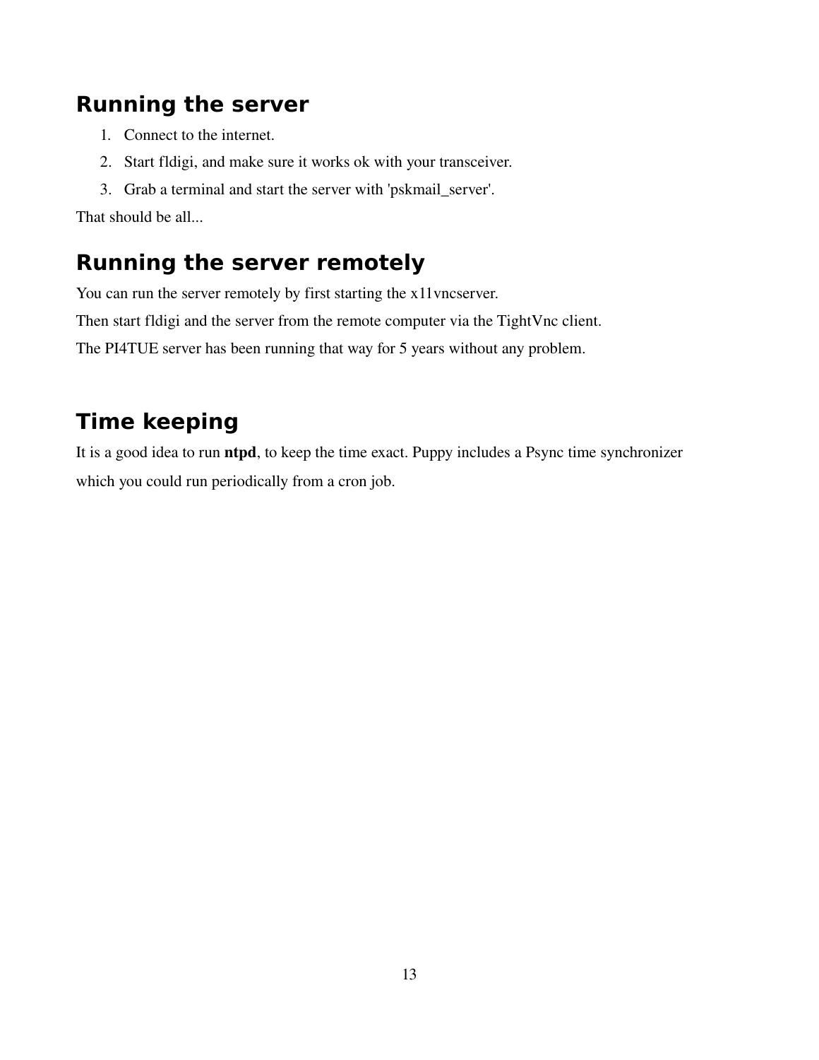# **Running the server**

- 1. Connect to the internet.
- 2. Start fldigi, and make sure it works ok with your transceiver.
- 3. Grab a terminal and start the server with 'pskmail\_server'.

That should be all...

# **Running the server remotely**

You can run the server remotely by first starting the x11vncserver.

Then start fldigi and the server from the remote computer via the TightVnc client.

The PI4TUE server has been running that way for 5 years without any problem.

# **Time keeping**

It is a good idea to run ntpd, to keep the time exact. Puppy includes a Psync time synchronizer which you could run periodically from a cron job.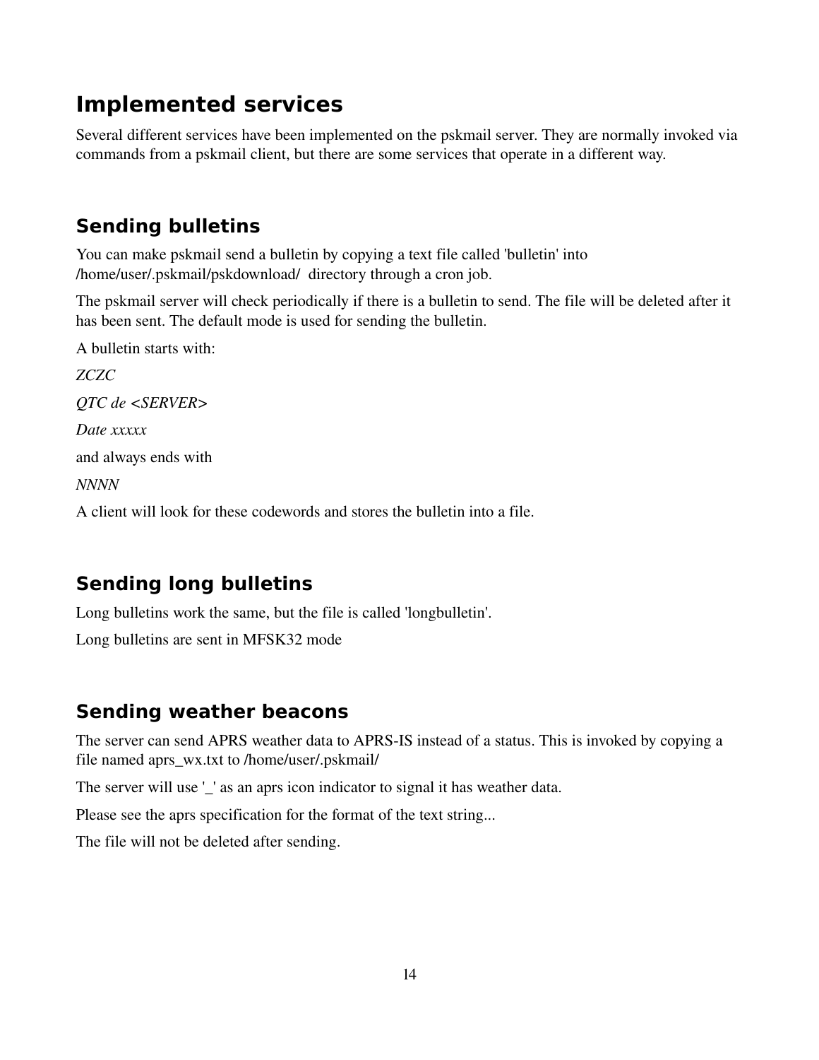## **Implemented services**

Several different services have been implemented on the pskmail server. They are normally invoked via commands from a pskmail client, but there are some services that operate in a different way.

### **Sending bulletins**

You can make pskmail send a bulletin by copying a text file called 'bulletin' into /home/user/.pskmail/pskdownload/ directory through a cron job.

The pskmail server will check periodically if there is a bulletin to send. The file will be deleted after it has been sent. The default mode is used for sending the bulletin.

A bulletin starts with: *ZCZC QTC de <SERVER> Date xxxxx* and always ends with *NNNN*

A client will look for these codewords and stores the bulletin into a file.

#### **Sending long bulletins**

Long bulletins work the same, but the file is called 'longbulletin'.

Long bulletins are sent in MFSK32 mode

#### **Sending weather beacons**

The server can send APRS weather data to APRS-IS instead of a status. This is invoked by copying a file named aprs\_wx.txt to /home/user/.pskmail/

The server will use '\_' as an aprs icon indicator to signal it has weather data.

Please see the aprs specification for the format of the text string...

The file will not be deleted after sending.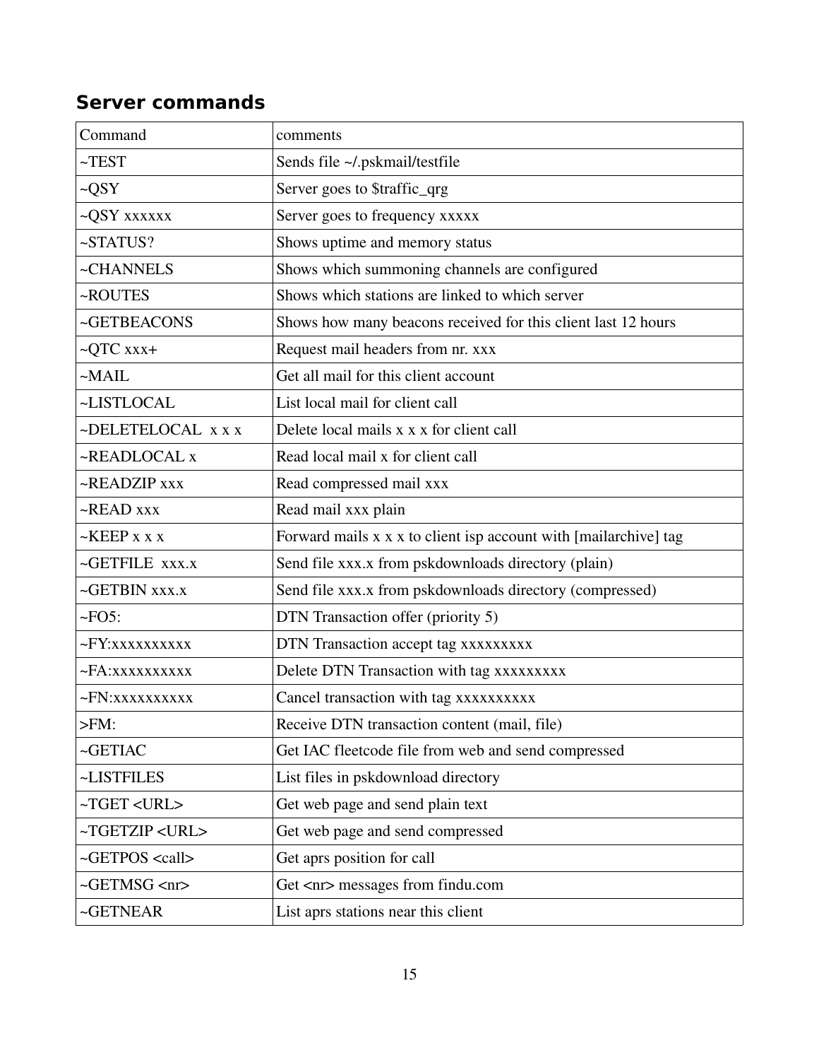#### **Server commands**

| Command                       | comments                                                         |
|-------------------------------|------------------------------------------------------------------|
| $~\sim$ TEST                  | Sends file ~/.pskmail/testfile                                   |
| $-QSY$                        | Server goes to \$traffic_qrg                                     |
| ~QSY xxxxxx                   | Server goes to frequency xxxxx                                   |
| ~STATUS?                      | Shows uptime and memory status                                   |
| ~CHANNELS                     | Shows which summoning channels are configured                    |
| ~ROUTES                       | Shows which stations are linked to which server                  |
| ~GETBEACONS                   | Shows how many beacons received for this client last 12 hours    |
| $\sim$ QTC xxx+               | Request mail headers from nr. xxx                                |
| $-MAIL$                       | Get all mail for this client account                             |
| ~LISTLOCAL                    | List local mail for client call                                  |
| ~DELETELOCAL x x x            | Delete local mails x x x for client call                         |
| ~READLOCAL x                  | Read local mail x for client call                                |
| ~READZIP xxx                  | Read compressed mail xxx                                         |
| ~READ xxx                     | Read mail xxx plain                                              |
| $\sim$ KEEP x x x             | Forward mails x x x to client isp account with [mailarchive] tag |
| ~GETFILE XXX.X                | Send file xxx.x from pskdownloads directory (plain)              |
| $\sim$ GETBIN XXX.X           | Send file xxx.x from pskdownloads directory (compressed)         |
| $\sim$ FO5:                   | DTN Transaction offer (priority 5)                               |
| ~FY:xxxxxxxxxx                | DTN Transaction accept tag xxxxxxxxx                             |
| $\neg FA:xxxxxxxxxx$          | Delete DTN Transaction with tag xxxxxxxxx                        |
| ~FN: XXXXXXXXXX               | Cancel transaction with tag xxxxxxxxxx                           |
| $>FM$ :                       | Receive DTN transaction content (mail, file)                     |
| $\sim$ GETIAC                 | Get IAC fleetcode file from web and send compressed              |
| ~LISTFILES                    | List files in pskdownload directory                              |
| ~TGET <url></url>             | Get web page and send plain text                                 |
| ~TGETZIP <url></url>          | Get web page and send compressed                                 |
| ~GETPOS <call></call>         | Get aprs position for call                                       |
| $\sim$ GETMSG $\rm{<}$ nr $>$ | Get <nr> messages from findu.com</nr>                            |
| ~GETNEAR                      | List aprs stations near this client                              |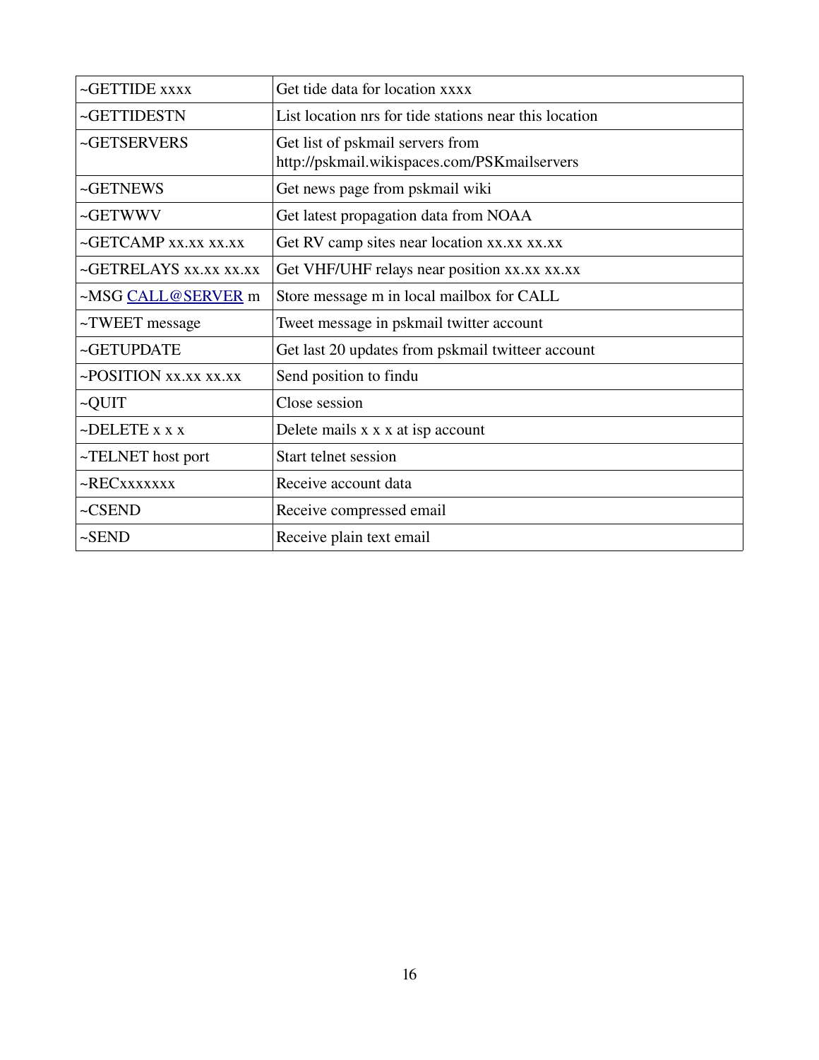| $\sim$ GETTIDE $xxxx$       | Get tide data for location xxxx                                                  |
|-----------------------------|----------------------------------------------------------------------------------|
| ~GETTIDESTN                 | List location nrs for tide stations near this location                           |
| ~GETSERVERS                 | Get list of pskmail servers from<br>http://pskmail.wikispaces.com/PSKmailservers |
| $~\sim$ GETNEWS             | Get news page from pskmail wiki                                                  |
| ~GETWWV                     | Get latest propagation data from NOAA                                            |
| ~GETCAMP xx.xx xx.xx        | Get RV camp sites near location xx.xx xx.xx                                      |
| ~GETRELAYS xx.xx xx.xx      | Get VHF/UHF relays near position xx.xx xx.xx                                     |
| ~MSG CALL@SERVER m          | Store message m in local mailbox for CALL                                        |
| $\sim$ TWEET message        | Tweet message in pskmail twitter account                                         |
| ~GETUPDATE                  | Get last 20 updates from pskmail twitteer account                                |
| $\sim$ POSITION XX.XX XX.XX | Send position to findu                                                           |
| ~QUIT                       | Close session                                                                    |
| $\neg$ DELETE x x x         | Delete mails x x x at isp account                                                |
| ~TELNET host port           | Start telnet session                                                             |
| ~RECXXXXXXX                 | Receive account data                                                             |
| $-CSEND$                    | Receive compressed email                                                         |
| $-SEND$                     | Receive plain text email                                                         |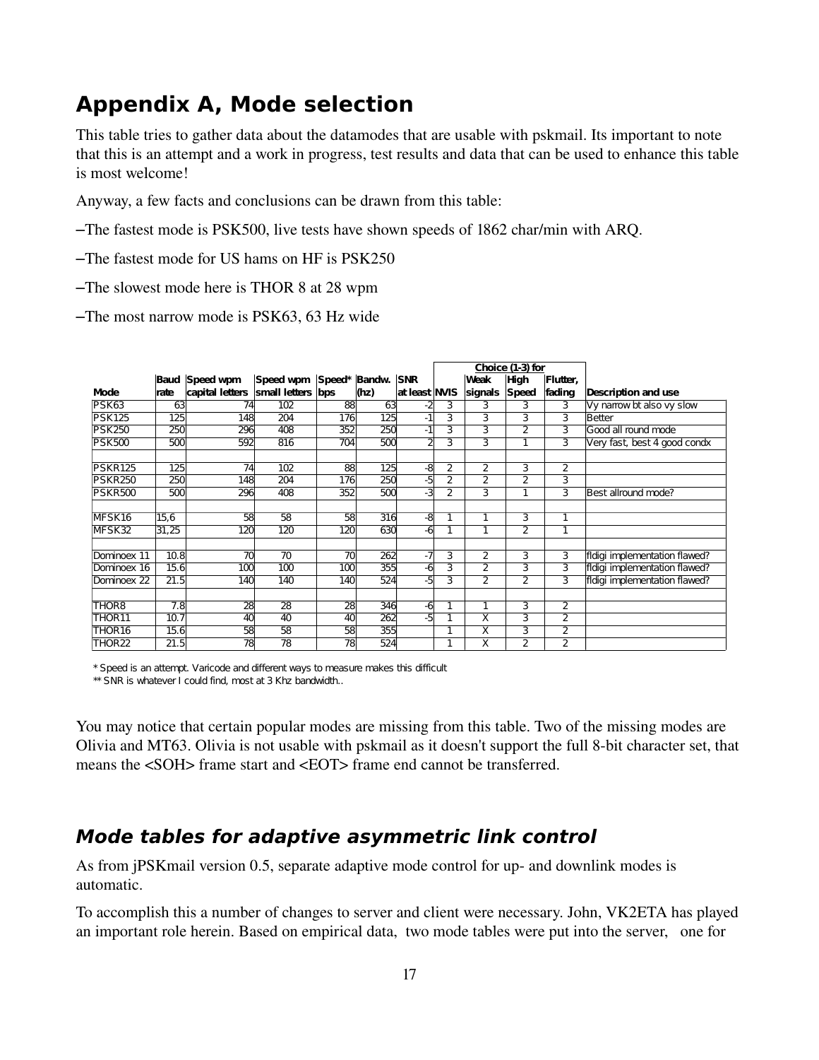## **Appendix A, Mode selection**

This table tries to gather data about the datamodes that are usable with pskmail. Its important to note that this is an attempt and a work in progress, test results and data that can be used to enhance this table is most welcome!

Anyway, a few facts and conclusions can be drawn from this table:

- –The fastest mode is PSK500, live tests have shown speeds of 1862 char/min with ARQ.
- –The fastest mode for US hams on HF is PSK250
- –The slowest mode here is THOR 8 at 28 wpm

–The most narrow mode is PSK63, 63 Hz wide

|                   |       |                       |                             |                 |      |               | Choice (1-3) for |                         |                |                |                               |
|-------------------|-------|-----------------------|-----------------------------|-----------------|------|---------------|------------------|-------------------------|----------------|----------------|-------------------------------|
|                   |       | <b>Baud Speed wpm</b> | Speed wpm Speed* Bandw. SNR |                 |      |               |                  | Weak                    | <b>High</b>    | Flutter.       |                               |
| Mode              | rate  | capital letters       | small letters               | bps             | (hz) | at least NVIS |                  | signals                 | <b>Speed</b>   | fading         | Description and use           |
| PSK63             | 63    | 74                    | 102                         | 88              | 63   | -2            | 3                | 3                       | 3              | 3              | Vy narrow bt also vy slow     |
| <b>PSK125</b>     | 125   | 148                   | 204                         | 176             | 125  | $-1$          | 3                | 3                       | 3              | 3              | Better                        |
| <b>PSK250</b>     | 250   | 296                   | 408                         | 352             | 250  | $-1$          | 3                | 3                       | 2              | 3              | Good all round mode           |
| <b>PSK500</b>     | 500   | 592                   | 816                         | 704             | 500  |               | 3                | 3                       | ī              | 3              | Very fast, best 4 good condx  |
|                   |       |                       |                             |                 |      |               |                  |                         |                |                |                               |
| <b>PSKR125</b>    | 125   | 74                    | 102                         | 88              | 125  | -8            | 2                | 2                       | 3              | 2              |                               |
| <b>PSKR250</b>    | 250   | 148                   | 204                         | 176             | 250  | -5            | $\overline{2}$   | $\overline{2}$          | $\overline{2}$ | 3              |                               |
| <b>PSKR500</b>    | 500   | 296                   | 408                         | 352             | 500  | -3            | 2                | 3                       | 1              | 3              | Best allround mode?           |
|                   |       |                       |                             |                 |      |               |                  |                         |                |                |                               |
| MFSK16            | 15,6  | 58                    | 58                          | 58              | 316  | -8            | 1                | $\mathbf{1}$            | 3              | 1              |                               |
| MFSK32            | 31,25 | 120                   | 120                         | 120             | 630  | -6            | $\mathbf{1}$     | $\mathbf{1}$            | $\overline{2}$ | 1              |                               |
|                   |       |                       |                             |                 |      |               |                  |                         |                |                |                               |
| Dominoex 11       | 10.8  | 70                    | 70                          | $\overline{70}$ | 262  | $-7$          | 3                | 2                       | 3              | 3              | fidigi implementation flawed? |
| Dominoex 16       | 15.6  | 100                   | 100                         | 100             | 355  | -6            | 3                | $\bar{2}$               | 3              | 3              | fidigi implementation flawed? |
| Dominoex 22       | 21.5  | 140                   | 140                         | 140             | 524  | -5            | 3                | $\overline{2}$          | $\overline{2}$ | $\overline{3}$ | fidigi implementation flawed? |
|                   |       |                       |                             |                 |      |               |                  |                         |                |                |                               |
| THOR <sub>8</sub> | 7.8   | 28                    | 28                          | 28              | 346  | -6            | 1                | $\mathbf{1}$            | 3              | 2              |                               |
| THOR11            | 10.7  | 40                    | 40                          | 40              | 262  | -5            | $\mathbf{1}$     | $\overline{\mathsf{x}}$ | 3              | 2              |                               |
| THOR16            | 15.6  | 58                    | 58                          | 58              | 355  |               | 1                | X                       | 3              | 2              |                               |
| THOR22            | 21.5  | 78                    | 78                          | $\overline{78}$ | 524  |               | 1                | X                       | $\overline{2}$ | 2              |                               |

\* Speed is an attempt. Varicode and different ways to measure makes this difficult

\*\* SNR is whatever I could find, most at 3 Khz bandwidth..

You may notice that certain popular modes are missing from this table. Two of the missing modes are Olivia and MT63. Olivia is not usable with pskmail as it doesn't support the full 8-bit character set, that means the <SOH> frame start and <EOT> frame end cannot be transferred.

#### **Mode tables for adaptive asymmetric link control**

As from jPSK mail version 0.5, separate adaptive mode control for up- and downlink modes is automatic.

To accomplish this a number of changes to server and client were necessary. John, VK2ETA has played an important role herein. Based on empirical data, two mode tables were put into the server, one for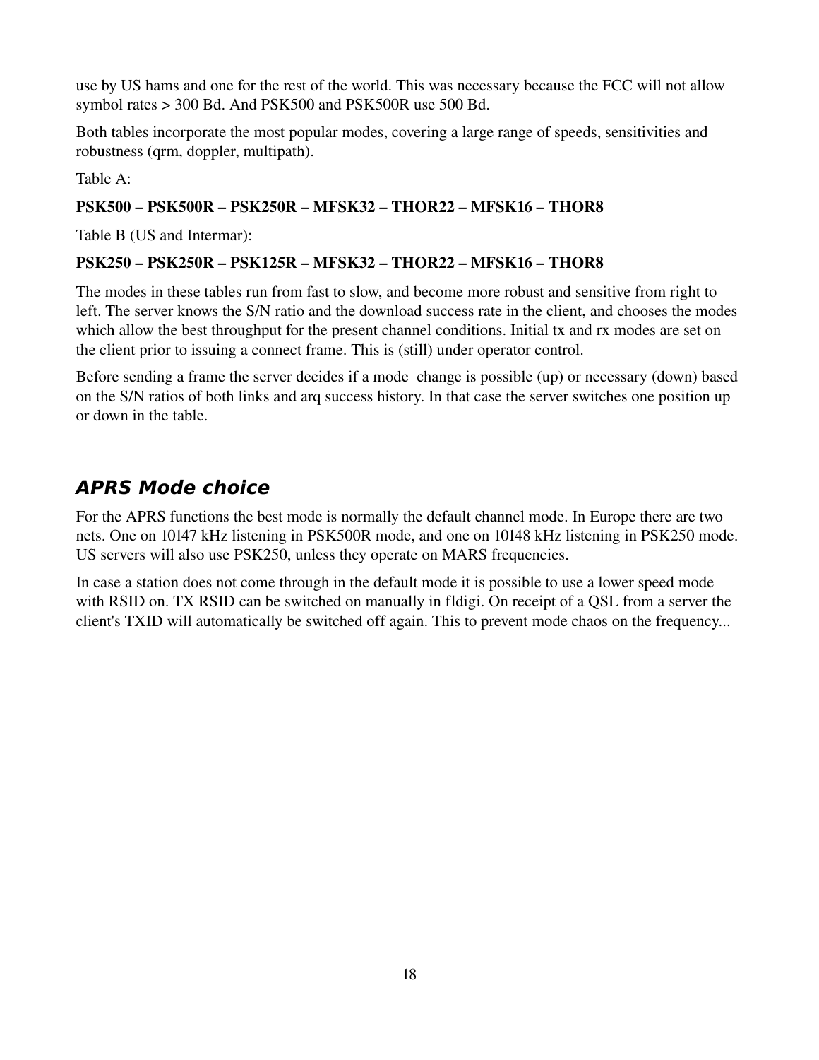use by US hams and one for the rest of the world. This was necessary because the FCC will not allow symbol rates > 300 Bd. And PSK500 and PSK500R use 500 Bd.

Both tables incorporate the most popular modes, covering a large range of speeds, sensitivities and robustness (qrm, doppler, multipath).

Table A:

#### PSK500 – PSK500R – PSK250R – MFSK32 – THOR22 – MFSK16 – THOR8

Table B (US and Intermar):

#### PSK250 – PSK250R – PSK125R – MFSK32 – THOR22 – MFSK16 – THOR8

The modes in these tables run from fast to slow, and become more robust and sensitive from right to left. The server knows the S/N ratio and the download success rate in the client, and chooses the modes which allow the best throughput for the present channel conditions. Initial tx and rx modes are set on the client prior to issuing a connect frame. This is (still) under operator control.

Before sending a frame the server decides if a mode change is possible (up) or necessary (down) based on the S/N ratios of both links and arq success history. In that case the server switches one position up or down in the table.

#### **APRS Mode choice**

For the APRS functions the best mode is normally the default channel mode. In Europe there are two nets. One on 10147 kHz listening in PSK500R mode, and one on 10148 kHz listening in PSK250 mode. US servers will also use PSK250, unless they operate on MARS frequencies.

In case a station does not come through in the default mode it is possible to use a lower speed mode with RSID on. TX RSID can be switched on manually in fldigi. On receipt of a QSL from a server the client's TXID will automatically be switched off again. This to prevent mode chaos on the frequency...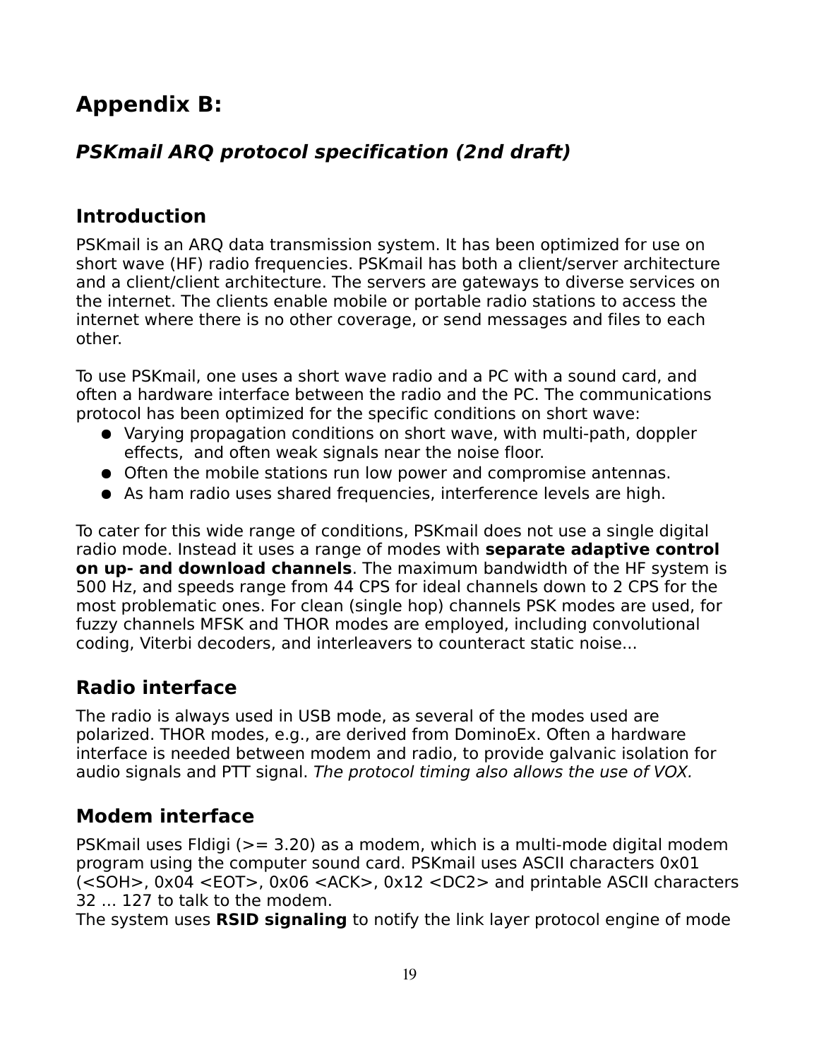# **Appendix B:**

### **PSKmail ARQ protocol specification (2nd draft)**

#### **Introduction**

PSKmail is an ARQ data transmission system. It has been optimized for use on short wave (HF) radio frequencies. PSKmail has both a client/server architecture and a client/client architecture. The servers are gateways to diverse services on the internet. The clients enable mobile or portable radio stations to access the internet where there is no other coverage, or send messages and files to each other.

To use PSKmail, one uses a short wave radio and a PC with a sound card, and often a hardware interface between the radio and the PC. The communications protocol has been optimized for the specific conditions on short wave:

- Varying propagation conditions on short wave, with multi-path, doppler effects, and often weak signals near the noise floor.
- Often the mobile stations run low power and compromise antennas.
- As ham radio uses shared frequencies, interference levels are high.

To cater for this wide range of conditions, PSKmail does not use a single digital radio mode. Instead it uses a range of modes with **separate adaptive control on up- and download channels**. The maximum bandwidth of the HF system is 500 Hz, and speeds range from 44 CPS for ideal channels down to 2 CPS for the most problematic ones. For clean (single hop) channels PSK modes are used, for fuzzy channels MFSK and THOR modes are employed, including convolutional coding, Viterbi decoders, and interleavers to counteract static noise...

#### **Radio interface**

The radio is always used in USB mode, as several of the modes used are polarized. THOR modes, e.g., are derived from DominoEx. Often a hardware interface is needed between modem and radio, to provide galvanic isolation for audio signals and PTT signal. The protocol timing also allows the use of VOX.

### **Modem interface**

PSKmail uses Fldigi (>= 3.20) as a modem, which is a multi-mode digital modem program using the computer sound card. PSKmail uses ASCII characters 0x01 (<SOH>, 0x04 <EOT>, 0x06 <ACK>, 0x12 <DC2> and printable ASCII characters 32 ... 127 to talk to the modem.

The system uses **RSID signaling** to notify the link layer protocol engine of mode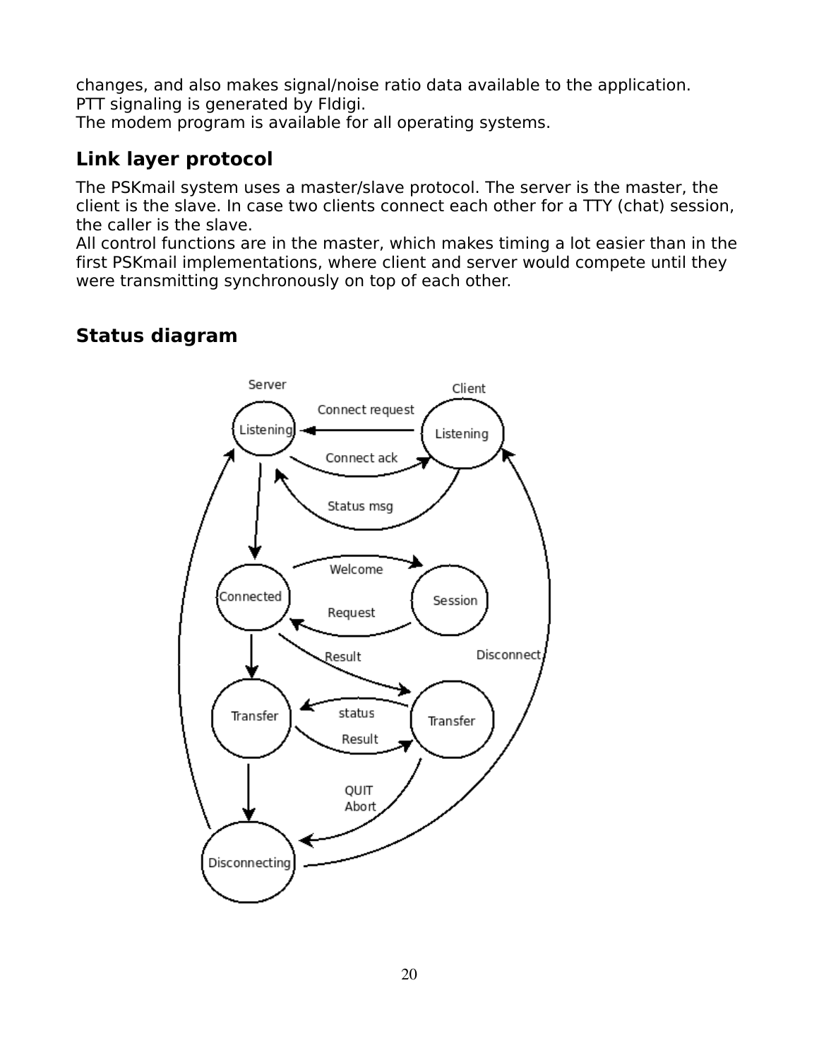changes, and also makes signal/noise ratio data available to the application. PTT signaling is generated by Fldigi.

The modem program is available for all operating systems.

#### **Link layer protocol**

The PSKmail system uses a master/slave protocol. The server is the master, the client is the slave. In case two clients connect each other for a TTY (chat) session, the caller is the slave.

All control functions are in the master, which makes timing a lot easier than in the first PSKmail implementations, where client and server would compete until they were transmitting synchronously on top of each other.

#### **Status diagram**

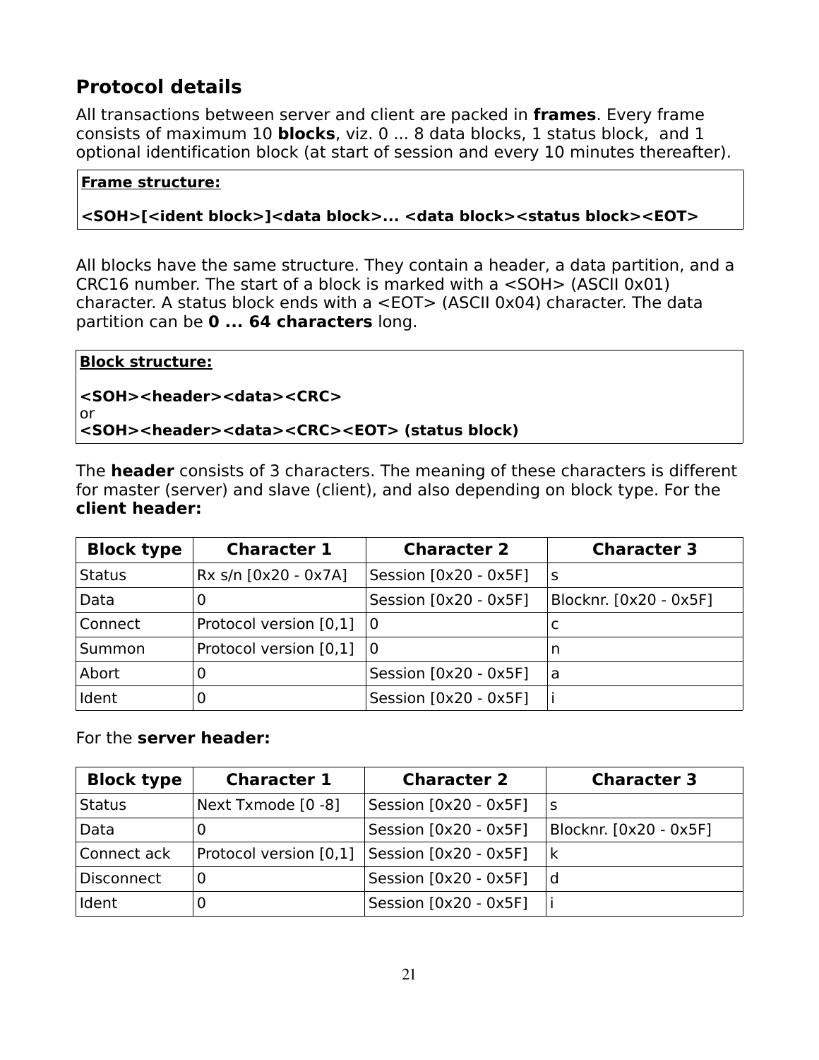#### **Protocol details**

All transactions between server and client are packed in **frames**. Every frame consists of maximum 10 **blocks**, viz. 0 ... 8 data blocks, 1 status block, and 1 optional identification block (at start of session and every 10 minutes thereafter).

#### **Frame structure:**

#### **<SOH>[<ident block>]<data block>... <data block><status block><EOT>**

All blocks have the same structure. They contain a header, a data partition, and a CRC16 number. The start of a block is marked with a <SOH> (ASCII 0x01) character. A status block ends with a <EOT> (ASCII 0x04) character. The data partition can be **0 ... 64 characters** long.

| Block structure:                                                               |  |
|--------------------------------------------------------------------------------|--|
| <soh><header><data><crc></crc></data></header></soh>                           |  |
| ∣ or                                                                           |  |
| <soh><header><data><crc><eot> (status block)</eot></crc></data></header></soh> |  |

The **header** consists of 3 characters. The meaning of these characters is different for master (server) and slave (client), and also depending on block type. For the **client header:** 

| <b>Block type</b> | <b>Character 1</b>     | <b>Character 2</b>    | <b>Character 3</b>     |
|-------------------|------------------------|-----------------------|------------------------|
| Status            | Rx s/n [0x20 - 0x7A]   | Session [0x20 - 0x5F] | S                      |
| Data              | 0                      | Session [0x20 - 0x5F] | Blocknr. [0x20 - 0x5F] |
| Connect           | Protocol version [0,1] | $\Omega$              |                        |
| Summon            | Protocol version [0,1] | 0                     | n                      |
| Abort             | 0                      | Session [0x20 - 0x5F] | a                      |
| Ident             | 0                      | Session [0x20 - 0x5F] |                        |

For the **server header:**

| <b>Block type</b> | <b>Character 1</b>     | <b>Character 2</b>      | <b>Character 3</b>     |
|-------------------|------------------------|-------------------------|------------------------|
| <b>Status</b>     | Next Txmode [0 -8]     | Session $[0x20 - 0x5F]$ | S                      |
| Data              | 0                      | Session [0x20 - 0x5F]   | Blocknr. [0x20 - 0x5F] |
| Connect ack       | Protocol version [0,1] | Session [0x20 - 0x5F]   | $\mathsf k$            |
| <b>Disconnect</b> | 0                      | Session [0x20 - 0x5F]   | d                      |
| Ident             | U                      | Session $[0x20 - 0x5F]$ |                        |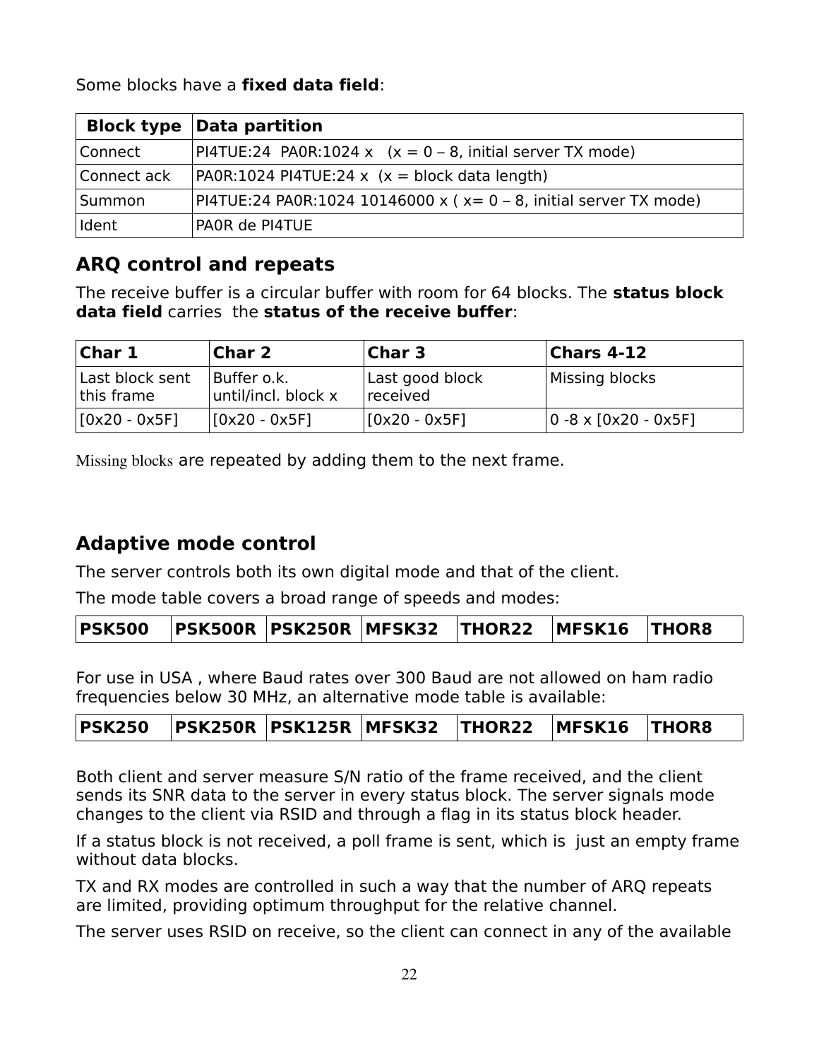Some blocks have a **fixed data field**:

|             | <b>Block type Data partition</b>                                  |
|-------------|-------------------------------------------------------------------|
| Connect     | PI4TUE:24 PA0R:1024 x $(x = 0 - 8$ , initial server TX mode)      |
| Connect ack | $PAOR:1024$ PI4TUE:24 x (x = block data length)                   |
| Summon      | PI4TUE:24 PA0R:1024 10146000 x (x= 0 - 8, initial server TX mode) |
| Ident       | PAOR de PI4TUE                                                    |

#### **ARQ control and repeats**

The receive buffer is a circular buffer with room for 64 blocks. The **status block data field** carries the **status of the receive buffer**:

| Char 1<br><b>Char 2</b>       |                                    | <b>Char 3</b>               | Chars 4-12                                   |
|-------------------------------|------------------------------------|-----------------------------|----------------------------------------------|
| Last block sent<br>this frame | Buffer o.k.<br>until/incl. block x | Last good block<br>received | Missing blocks                               |
| $[0x20 - 0x5F]$               | $[0x20 - 0x5F]$                    | $[0x20 - 0x5F]$             | $ 0 - 8 \times [0 \times 20 - 0 \times 5F] $ |

Missing blocks are repeated by adding them to the next frame.

#### **Adaptive mode control**

The server controls both its own digital mode and that of the client.

The mode table covers a broad range of speeds and modes:

|--|--|--|--|--|--|

For use in USA , where Baud rates over 300 Baud are not allowed on ham radio frequencies below 30 MHz, an alternative mode table is available:

|--|--|--|--|--|--|--|

Both client and server measure S/N ratio of the frame received, and the client sends its SNR data to the server in every status block. The server signals mode changes to the client via RSID and through a flag in its status block header.

If a status block is not received, a poll frame is sent, which is just an empty frame without data blocks.

TX and RX modes are controlled in such a way that the number of ARQ repeats are limited, providing optimum throughput for the relative channel.

The server uses RSID on receive, so the client can connect in any of the available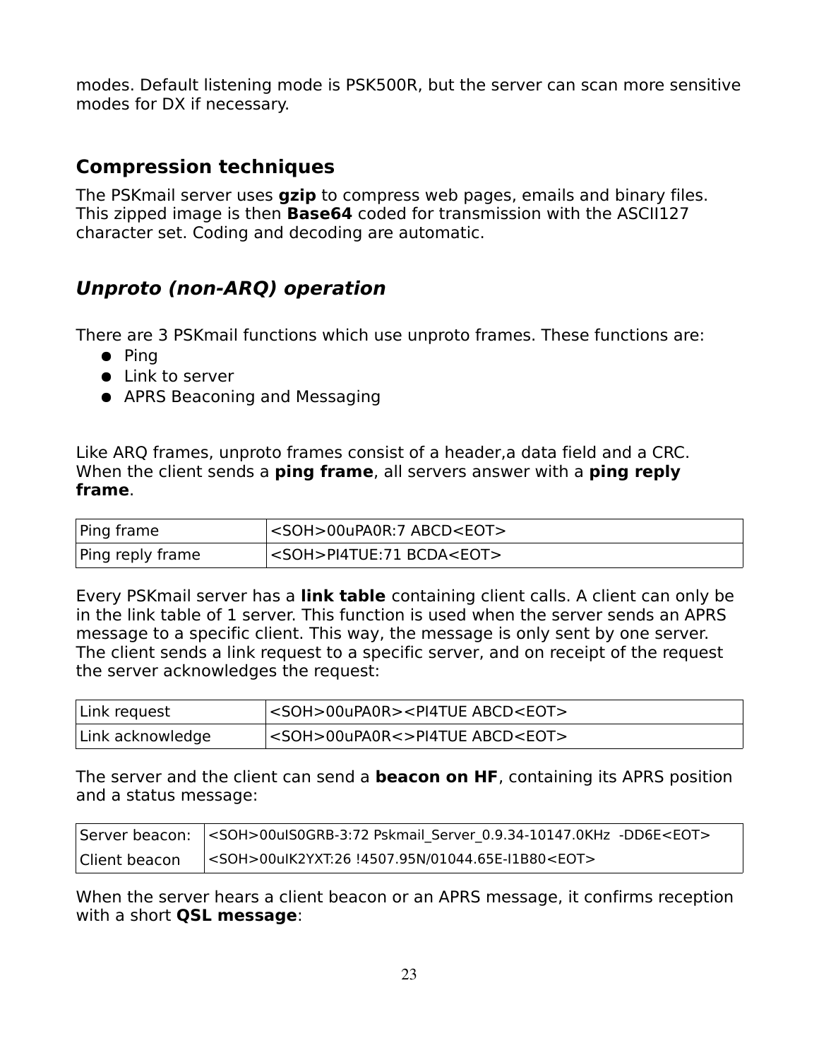modes. Default listening mode is PSK500R, but the server can scan more sensitive modes for DX if necessary.

#### **Compression techniques**

The PSKmail server uses **gzip** to compress web pages, emails and binary files. This zipped image is then **Base64** coded for transmission with the ASCII127 character set. Coding and decoding are automatic.

#### **Unproto (non-ARQ) operation**

There are 3 PSKmail functions which use unproto frames. These functions are:

- Ping
- Link to server
- APRS Beaconing and Messaging

Like ARQ frames, unproto frames consist of a header,a data field and a CRC. When the client sends a **ping frame**, all servers answer with a **ping reply frame**.

| Ping frame       | <soh>00uPA0R:7 ABCD<eot></eot></soh> |
|------------------|--------------------------------------|
| Ping reply frame | <soh>PI4TUE:71 BCDA<eot></eot></soh> |

Every PSKmail server has a **link table** containing client calls. A client can only be in the link table of 1 server. This function is used when the server sends an APRS message to a specific client. This way, the message is only sent by one server. The client sends a link request to a specific server, and on receipt of the request the server acknowledges the request:

| Link request     | <soh>00uPA0R&gt;<pi4tue abcd<eot=""></pi4tue></soh> |
|------------------|-----------------------------------------------------|
| Link acknowledge | <soh>00uPA0R&lt;&gt;PI4TUE ABCD<eot></eot></soh>    |

The server and the client can send a **beacon on HF**, containing its APRS position and a status message:

| Client beacon | <soh>00uIK2YXT:26 !4507.95N/01044.65E-I1B80<eot></eot></soh> |
|---------------|--------------------------------------------------------------|

When the server hears a client beacon or an APRS message, it confirms reception with a short **QSL message**: